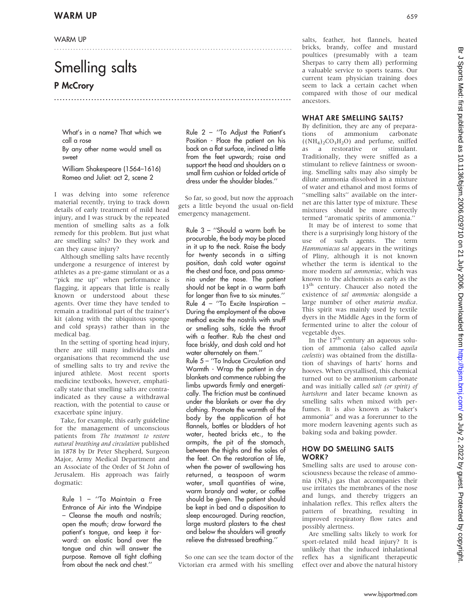### WARM UP

# Smelling salts P McCrory

What's in a name? That which we call a rose By any other name would smell as

sweet

William Shakespeare (1564–1616) Romeo and Juliet: act 2, scene 2

I was delving into some reference material recently, trying to track down details of early treatment of mild head injury, and I was struck by the repeated mention of smelling salts as a folk remedy for this problem. But just what are smelling salts? Do they work and can they cause injury?

Although smelling salts have recently undergone a resurgence of interest by athletes as a pre-game stimulant or as a "pick me up" when performance is flagging, it appears that little is really known or understood about these agents. Over time they have tended to remain a traditional part of the trainer's kit (along with the ubiquitous sponge and cold sprays) rather than in the medical bag.

In the setting of sporting head injury, there are still many individuals and organisations that recommend the use of smelling salts to try and revive the injured athlete. Most recent sports medicine textbooks, however, emphatically state that smelling salts are contraindicated as they cause a withdrawal reaction, with the potential to cause or exacerbate spine injury.

Take, for example, this early guideline for the management of unconscious patients from The treatment to restore natural breathing and circulation published in 1878 by Dr Peter Shepherd, Surgeon Major, Army Medical Department and an Associate of the Order of St John of Jerusalem. His approach was fairly dogmatic:

Rule 1 – ''To Maintain a Free Entrance of Air into the Windpipe – Cleanse the mouth and nostrils; open the mouth; draw forward the patient's tongue, and keep it forward: an elastic band over the tongue and chin will answer the purpose. Remove all tight clothing from about the neck and chest.''

Rule  $2 -$  "To Adjust the Patient's Position - Place the patient on his back on a flat surface, inclined a little from the feet upwards; raise and support the head and shoulders on a small firm cushion or folded article of dress under the shoulder blades.''

.......................................................................................

...................................................................................

So far, so good, but now the approach gets a little beyond the usual on-field emergency management.

Rule 3 – ''Should a warm bath be procurable, the body may be placed in it up to the neck. Raise the body for twenty seconds in a sitting position, dash cold water against the chest and face, and pass ammonia under the nose. The patient should not be kept in a warm bath for longer than five to six minutes.'' Rule 4 – ''To Excite Inspiration – During the employment of the above method excite the nostrils with snuff or smelling salts, tickle the throat with a feather. Rub the chest and face briskly, and dash cold and hot water alternately on them.''

Rule 5 – ''To Induce Circulation and Warmth - Wrap the patient in dry blankets and commence rubbing the limbs upwards firmly and energetically. The friction must be continued under the blankets or over the dry clothing. Promote the warmth of the body by the application of hot flannels, bottles or bladders of hot water, heated bricks etc., to the armpits, the pit of the stomach, between the thighs and the soles of the feet. On the restoration of life, when the power of swallowing has returned, a teaspoon of warm water, small quantities of wine, warm brandy and water, or coffee should be given. The patient should be kept in bed and a disposition to sleep encouraged. During reaction, large mustard plasters to the chest and below the shoulders will greatly relieve the distressed breathing.''

So one can see the team doctor of the Victorian era armed with his smelling salts, feather, hot flannels, heated bricks, brandy, coffee and mustard poultices (presumably with a team Sherpas to carry them all) performing a valuable service to sports teams. Our current team physician training does seem to lack a certain cachet when compared with those of our medical ancestors.

## WHAT ARE SMELLING SALTS?

By definition, they are any of preparations of ammonium carbonate  $((NH_4)_2CO_3H_2O)$  and perfume, sniffed as a restorative or stimulant. Traditionally, they were sniffed as a stimulant to relieve faintness or swooning. Smelling salts may also simply be dilute ammonia dissolved in a mixture of water and ethanol and most forms of ''smelling salts'' available on the internet are this latter type of mixture. These mixtures should be more correctly termed ''aromatic spirits of ammonia.''

It may be of interest to some that there is a surprisingly long history of the use of such agents. The term Hammoniacus sal appears in the writings of Pliny, although it is not known whether the term is identical to the more modern sal ammoniac, which was known to the alchemists as early as the 13<sup>th</sup> century. Chaucer also noted the existence of sal ammoniac alongside a large number of other materia medica. This spirit was mainly used by textile dyers in the Middle Ages in the form of fermented urine to alter the colour of vegetable dyes.

In the  $17<sup>th</sup>$  century an aqueous solution of ammonia (also called aquila coelestis) was obtained from the distillation of shavings of harts' horns and hooves. When crystallised, this chemical turned out to be ammonium carbonate and was initially called salt (or spirit) of hartshorn and later became known as smelling salts when mixed with perfumes. It is also known as ''baker's ammonia'' and was a forerunner to the more modern leavening agents such as baking soda and baking powder.

### HOW DO SMELLING SALTS WORK?

Smelling salts are used to arouse consciousness because the release of ammonia (NH3) gas that accompanies their use irritates the membranes of the nose and lungs, and thereby triggers an inhalation reflex. This reflex alters the pattern of breathing, resulting in improved respiratory flow rates and possibly alertness.

Are smelling salts likely to work for sport-related mild head injury? It is unlikely that the induced inhalational reflex has a significant therapeutic effect over and above the natural history